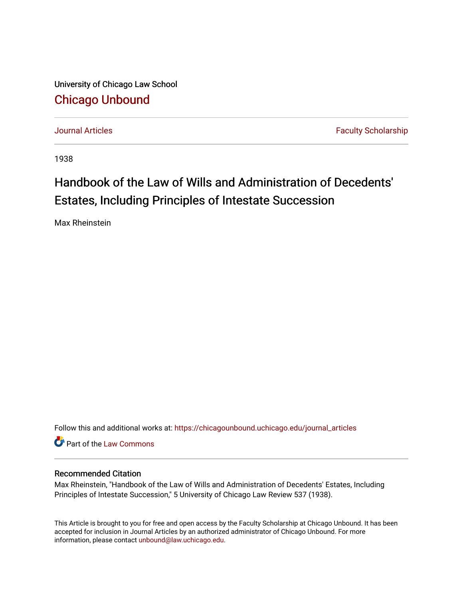University of Chicago Law School [Chicago Unbound](https://chicagounbound.uchicago.edu/)

[Journal Articles](https://chicagounbound.uchicago.edu/journal_articles) **Faculty Scholarship Journal Articles** 

1938

## Handbook of the Law of Wills and Administration of Decedents' Estates, Including Principles of Intestate Succession

Max Rheinstein

Follow this and additional works at: [https://chicagounbound.uchicago.edu/journal\\_articles](https://chicagounbound.uchicago.edu/journal_articles?utm_source=chicagounbound.uchicago.edu%2Fjournal_articles%2F9143&utm_medium=PDF&utm_campaign=PDFCoverPages) 

**C** Part of the [Law Commons](http://network.bepress.com/hgg/discipline/578?utm_source=chicagounbound.uchicago.edu%2Fjournal_articles%2F9143&utm_medium=PDF&utm_campaign=PDFCoverPages)

## Recommended Citation

Max Rheinstein, "Handbook of the Law of Wills and Administration of Decedents' Estates, Including Principles of Intestate Succession," 5 University of Chicago Law Review 537 (1938).

This Article is brought to you for free and open access by the Faculty Scholarship at Chicago Unbound. It has been accepted for inclusion in Journal Articles by an authorized administrator of Chicago Unbound. For more information, please contact [unbound@law.uchicago.edu](mailto:unbound@law.uchicago.edu).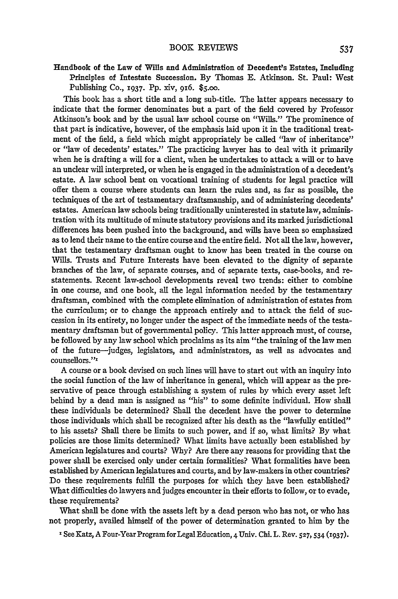Handbook of the Law of Wills and Administration of Decedent's Estates, Including Principles of Intestate Succession. **By** Thomas **E.** Atkinson. St. Paul: West Publishing **Co., z937. Pp.** xiv, 916. **\$5.oo.**

This book has a short title and a long sub-title. The latter appears necessary to indicate that the former denominates but a part of the field covered **by** Professor Atkinson's book and **by** the usual law school course on "Wills." The prominence of that part is indicative, however, of the emphasis laid upon it in the traditional treatment of the field, a field which might appropriately be called "law of inheritance" or "law of decedents' estates." The practicing lawyer has to deal with it primarily when he is drafting a will for a client, when he undertakes to attack a **will** or to have an unclear **will** interpreted, or when he is engaged in the administration of a decedent's estate. A law school bent on vocational training of students for legal practice will offer them a course where students can learn the rules and, as far as possible, the techniques of the art of testamentary draftsmanship, and of administering decedents' estates. American law schools being traditionally uninterested in statute law, administration with its multitude of minute statutory provisions and its marked jurisdictional differences has been pushed into the background, and wills have been so emphasized as to lend their name to the entire course and the entire field. Not all the law, however, that the testamentary draftsman ought to know has been treated in the course on Wills. Trusts and Future Interests have been elevated to the dignity of separate branches of the law, of separate courses, and of separate texts, case-books, and restatements. Recent law-school developments reveal two trends: either to combine in one course, and one book, all the legal information needed **by** the testamentary draftsman, combined with the complete elimination of administration of estates from the curriculum; or to change the approach entirely and to attack the field of succession in its entirety, no longer under the aspect of the immediate needs of the testamentary draftsman but of governmental policy. This latter approach must, of course, be followed **by** any law school which proclaims as its aim "the training of the law men of the future-judges, legislators, and administrators, as well as advocates and counsellors."'

A course or a book devised on such lines will have to start out with an inquiry into the social function of the law of inheritance in general, which will appear as the preservative of peace through establishing a system of rules by which every asset left behind by a dead man is assigned as "his" to some definite individual. How shall these individuals be determined? Shall the decedent have the power to determine those individuals which shall be recognized after his death as the "lawfully entitled" to his assets? Shall there be limits to such power, and if so, what limits? By what policies are those limits determined? What limits have actually been established by American legislatures and courts? Why? Are there any reasons for providing that the power shall be exercised only under certain formalities? What formalities have been established by American legislatures and courts, and by law-makers in other countries? Do these requirements fulfill the purposes for which they have been established? What difficulties do lawyers and judges encounter in their efforts to follow, or to evade, these requirements?

What shall be done with the assets left by a dead person who has not, or who has not properly, availed himself of the power of determination granted to him by the

' See Katz, A Four-Year Program for Legal Education, 4 Univ. Chi. L. Rev. **527,** 534 **(1937).**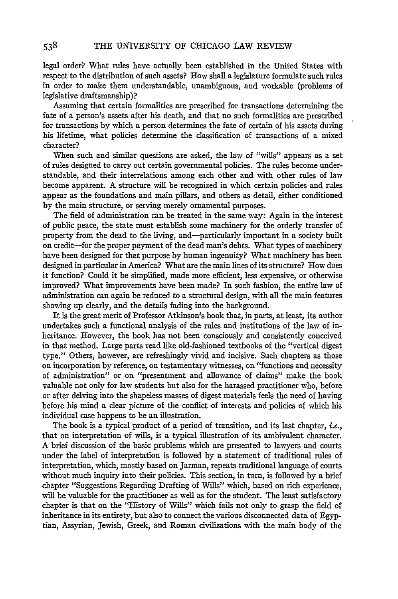legal order? What rules have actually been established in the United States with respect to the distribution of such assets? How shall a legislature formulate such rules in order to make them understandable, unambiguous, and workable (problems of legislative draftsmanship)?

Assuming that certain formalities are prescribed for transactions determining the fate of a person's assets after his death, and that no such formalities are prescribed for transactions by which a person determines the fate of certain of his assets during his lifetime, what policies determine the classification of transactions of a mixed character?

When such and similar questions are asked, the law of "wills" appears as a set of rules designed to carry out certain governmental policies. The rules become understandable, and their interrelations among each other and with other rules of law become apparent. A structure will be recognized in which certain policies and rales appear as the foundations and main pillars, and others as detail, either conditioned by the main structure, or serving merely ornamental purposes.

The field of administration can be treated in the same way: Again in the interest of public peace, the state must establish some machinery for the orderly transfer of property from the dead to the living, and-particularly important in a society built on credit-for the proper payment of the dead man's debts. What types of machinery have been designed for that purpose by human ingenuity? What machinery has been designed in particular in America? What are the main lines of its structure? How does it function? Could it be simplified, made more efficient, less expensive, or otherwise improved? What improvements have been made? In such fashion, the entire law of administration can again be reduced to a structural design, with all the main features showing up clearly, and the details fading into the background.

It is the great merit of Professor Atkinson's book that, in parts, at least, its author undertakes such a functional analysis of the rules and institutions of the law of inheritance. However, the book has not been consciously and consistently conceived in that method. Large parts read like old-fashioned textbooks of the "vertical digest type." Others, however, are refreshingly vivid and incisive. Such chapters as those on incorporation by reference, on testamentary witnesses, on "functions and necessity of administration" or on "presentment and allowance of claims" make the book valuable not only for law students but also for the harassed practitioner who, before or after delving into the shapeless masses of digest materials feels the need of having before his mind a clear picture of the conflict of interests and policies of which his individual case happens to be an illustration.

The book is a typical product of a period of transition, and its last chapter, *i.e.*, that on interpretation of wills, is a typical illustration of its ambivalent character. A brief discussion of the basic problems which are presented to lawyers and courts under the label of interpretation is followed by a statement of traditional rules of interpretation, which, mostly based on Jarman, repeats traditional language of courts without much inquiry into their policies. This section, in turn, is followed by a brief chapter "Suggestions Regarding Drafting of Wills" which, based on rich experience, will be valuable for the practitioner as well as for the student. The least satisfactory chapter is that on the "History of Wills" which fails not only to grasp the field of inheritance in its entirety, but also to connect the various disconnected data of Egyptian, Assyrian, Jewish, Greek, and Roman civilizations with the main body of the

538